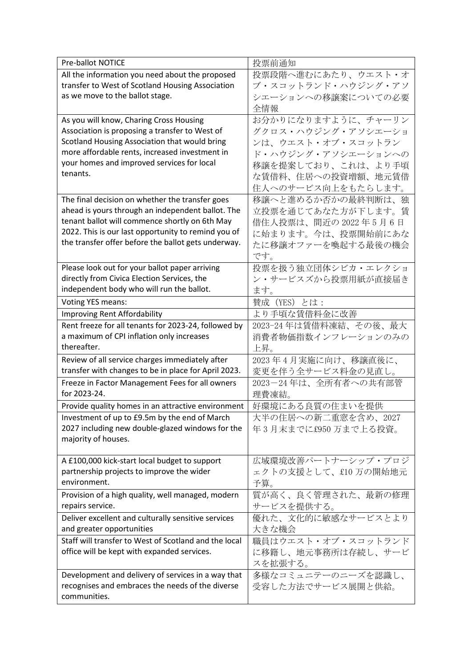| Pre-ballot NOTICE                                     | 投票前通知                 |
|-------------------------------------------------------|-----------------------|
| All the information you need about the proposed       | 投票段階へ進むにあたり、ウエスト・オ    |
| transfer to West of Scotland Housing Association      | ブ・スコットランド・ハウジング・アソ    |
| as we move to the ballot stage.                       | シエーションへの移譲案についての必要    |
|                                                       | 全情報                   |
| As you will know, Charing Cross Housing               | お分かりになりますように、チャーリン    |
| Association is proposing a transfer to West of        | グクロス・ハウジング・アソシエーショ    |
| Scotland Housing Association that would bring         | ンは、ウエスト・オブ・スコットラン     |
| more affordable rents, increased investment in        | ド・ハウジング・アソシエーションへの    |
| your homes and improved services for local            | 移譲を提案しており、これは、より手頃    |
| tenants.                                              | な賃借料、住居への投資増額、地元賃借    |
|                                                       | 住人へのサービス向上をもたらします。    |
| The final decision on whether the transfer goes       | 移譲へと進めるか否かの最終判断は、独    |
| ahead is yours through an independent ballot. The     | 立投票を通じてあなた方が下します。賃    |
| tenant ballot will commence shortly on 6th May        | 借住人投票は、間近の 2022 年5月6日 |
| 2022. This is our last opportunity to remind you of   | に始まります。今は、投票開始前にあな    |
| the transfer offer before the ballot gets underway.   | たに移譲オファーを喚起する最後の機会    |
|                                                       | です。                   |
| Please look out for your ballot paper arriving        | 投票を扱う独立団体シビカ・エレクショ    |
| directly from Civica Election Services, the           | ン・サービスズから投票用紙が直接届き    |
| independent body who will run the ballot.             | ます。                   |
| Voting YES means:                                     | 賛成 (YES) とは:          |
| Improving Rent Affordability                          | より手頃な賃借料金に改善          |
| Rent freeze for all tenants for 2023-24, followed by  | 2023-24年は賃借料凍結、その後、最大 |
| a maximum of CPI inflation only increases             | 消費者物価指数インフレーションのみの    |
| thereafter.                                           | 上昇。                   |
| Review of all service charges immediately after       | 2023年4月実施に向け、移譲直後に、   |
| transfer with changes to be in place for April 2023.  | 変更を伴う全サービス料金の見直し。     |
| Freeze in Factor Management Fees for all owners       | 2023-24年は、全所有者への共有部管  |
| for 2023-24.                                          | 理費凍結。                 |
| Provide quality homes in an attractive environment    | 好環境にある良質の住まいを提供       |
| Investment of up to £9.5m by the end of March         | 大半の住居への新二重窓を含め、2027   |
| 2027 including new double-glazed windows for the      | 年3月末までに£950万まで上る投資。   |
| majority of houses.                                   |                       |
| A £100,000 kick-start local budget to support         | 広域環境改善パートナーシップ・プロジ    |
| partnership projects to improve the wider             | ェクトの支援として、£10万の開始地元   |
| environment.                                          | 予算。                   |
| Provision of a high quality, well managed, modern     | 質が高く、良く管理された、最新の修理    |
| repairs service.                                      | サービスを提供する。            |
| Deliver excellent and culturally sensitive services   | 優れた、文化的に敏感なサービスとより    |
| and greater opportunities                             | 大きな機会                 |
| Staff will transfer to West of Scotland and the local | 職員はウエスト・オブ・スコットランド    |
| office will be kept with expanded services.           | に移籍し、地元事務所は存続し、サービ    |
|                                                       | スを拡張する。               |
| Development and delivery of services in a way that    | 多様なコミュニテーのニーズを認識し、    |
| recognises and embraces the needs of the diverse      | 受容した方法でサービス展開と供給。     |
| communities.                                          |                       |
|                                                       |                       |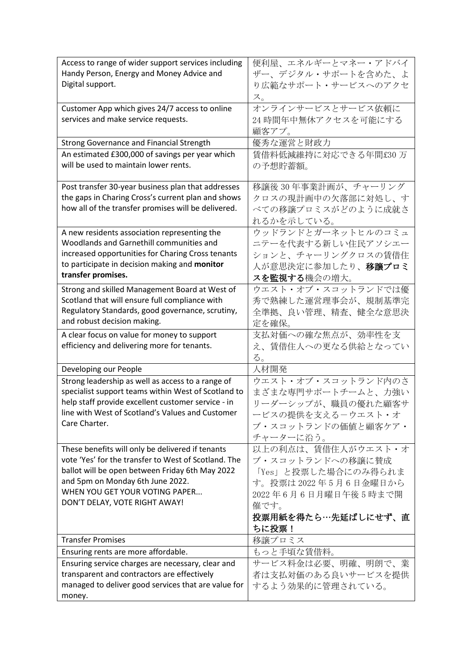| Access to range of wider support services including  | 便利屋、エネルギーとマネー・アドバイ         |
|------------------------------------------------------|----------------------------|
| Handy Person, Energy and Money Advice and            | ザー、デジタル・サポートを含めた、よ         |
| Digital support.                                     | り広範なサポート・サービスへのアクセ         |
|                                                      | ス。                         |
| Customer App which gives 24/7 access to online       | オンラインサービスとサービス依頼に          |
| services and make service requests.                  | 24 時間年中無休アクセスを可能にする        |
|                                                      | 顧客アプ。                      |
| Strong Governance and Financial Strength             | 優秀な運営と財政力                  |
| An estimated £300,000 of savings per year which      | 賃借料低減維持に対応できる年間£30万        |
| will be used to maintain lower rents.                | の予想貯蓄額。                    |
|                                                      |                            |
| Post transfer 30-year business plan that addresses   | 移譲後30年事業計画が、チャーリング         |
| the gaps in Charing Cross's current plan and shows   | クロスの現計画中の欠落部に対処し、す         |
| how all of the transfer promises will be delivered.  | べての移譲プロミスがどのように成就さ         |
|                                                      | れるかを示している。                 |
| A new residents association representing the         | ウッドランドとガーネットヒルのコミュ         |
| Woodlands and Garnethill communities and             | ニテーを代表する新しい住民アソシエー         |
| increased opportunities for Charing Cross tenants    | ションと、チャーリングクロスの賃借住         |
| to participate in decision making and monitor        | 人が意思決定に参加したり、 <b>移譲プロミ</b> |
| transfer promises.                                   | スを監視する機会の増大。               |
| Strong and skilled Management Board at West of       | ウエスト・オブ・スコットランドでは優         |
| Scotland that will ensure full compliance with       | 秀で熟練した運営理事会が、規制基準完         |
| Regulatory Standards, good governance, scrutiny,     | 全準拠、良い管理、精査、健全な意思決         |
| and robust decision making.                          |                            |
|                                                      | 定を確保。                      |
| A clear focus on value for money to support          | 支払対価への確な焦点が、効率性を支          |
| efficiency and delivering more for tenants.          | え、賃借住人への更なる供給となってい         |
|                                                      | る。                         |
| Developing our People                                | 人材開発                       |
| Strong leadership as well as access to a range of    | ウエスト・オブ・スコットランド内のさ         |
| specialist support teams within West of Scotland to  | まざまな専門サポートチームと、力強い         |
| help staff provide excellent customer service - in   | リーダーシップが、職員の優れた顧客サ         |
| line with West of Scotland's Values and Customer     | ービスの提供を支えるーウエスト・オ          |
| Care Charter.                                        | ブ・スコットランドの価値と顧客ケア・         |
|                                                      | チャーターに沿う。                  |
| These benefits will only be delivered if tenants     | 以上の利点は、賃借住人がウエスト・オ         |
| vote 'Yes' for the transfer to West of Scotland. The | ブ・スコットランドへの移譲に賛成           |
| ballot will be open between Friday 6th May 2022      | 「Yes」と投票した場合にのみ得られま        |
| and 5pm on Monday 6th June 2022.                     | す。投票は2022年5月6日金曜日から        |
| WHEN YOU GET YOUR VOTING PAPER                       | 2022年6月6日月曜日午後5時まで開        |
| DON'T DELAY, VOTE RIGHT AWAY!                        | 催です。                       |
|                                                      | 投票用紙を得たら…先延ばしにせず、直         |
|                                                      | ちに投票!                      |
| <b>Transfer Promises</b>                             | 移譲プロミス                     |
| Ensuring rents are more affordable.                  | もっと手頃な賃借料。                 |
| Ensuring service charges are necessary, clear and    | サービス料金は必要、明確、明朗で、業         |
| transparent and contractors are effectively          | 者は支払対価のある良いサービスを提供         |
| managed to deliver good services that are value for  | するよう効果的に管理されている。           |
| money.                                               |                            |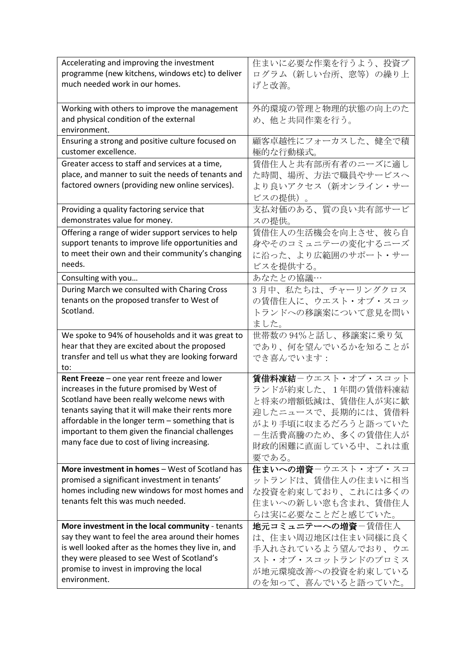| Accelerating and improving the investment                                                   | 住まいに必要な作業を行うよう、投資プ |
|---------------------------------------------------------------------------------------------|--------------------|
| programme (new kitchens, windows etc) to deliver                                            | ログラム(新しい台所、窓等)の繰り上 |
| much needed work in our homes.                                                              | げと改善。              |
|                                                                                             |                    |
| Working with others to improve the management                                               | 外的環境の管理と物理的状態の向上のた |
| and physical condition of the external                                                      | め、他と共同作業を行う。       |
| environment.                                                                                |                    |
| Ensuring a strong and positive culture focused on                                           | 顧客卓越性にフォーカスした、健全で積 |
| customer excellence.                                                                        | 極的な行動様式。           |
| Greater access to staff and services at a time,                                             | 賃借住人と共有部所有者のニーズに適し |
| place, and manner to suit the needs of tenants and                                          | た時間、場所、方法で職員やサービスへ |
| factored owners (providing new online services).                                            | より良いアクセス(新オンライン・サー |
|                                                                                             | ビスの提供)。            |
| Providing a quality factoring service that                                                  | 支払対価のある、質の良い共有部サービ |
| demonstrates value for money.                                                               | スの提供。              |
| Offering a range of wider support services to help                                          | 賃借住人の生活機会を向上させ、彼ら自 |
| support tenants to improve life opportunities and                                           | 身やそのコミュニテーの変化するニーズ |
| to meet their own and their community's changing                                            | に沿った、より広範囲のサポート・サー |
| needs.                                                                                      | ビスを提供する。           |
|                                                                                             | あなたとの協議…           |
| Consulting with you                                                                         |                    |
| During March we consulted with Charing Cross                                                | 3月中、私たちは、チャーリングクロス |
| tenants on the proposed transfer to West of                                                 | の賃借住人に、ウエスト・オブ・スコッ |
| Scotland.                                                                                   | トランドへの移譲案について意見を問い |
|                                                                                             | ました。               |
| We spoke to 94% of households and it was great to                                           | 世帯数の94%と話し、移譲案に乗り気 |
| hear that they are excited about the proposed                                               | であり、何を望んでいるかを知ることが |
| transfer and tell us what they are looking forward                                          | でき喜んでいます:          |
| to:                                                                                         | 賃借料凍結ーウエスト・オブ・スコット |
| Rent Freeze - one year rent freeze and lower<br>increases in the future promised by West of |                    |
| Scotland have been really welcome news with                                                 | ランドが約束した、1年間の賃借料凍結 |
| tenants saying that it will make their rents more                                           | と将来の増額低減は、賃借住人が実に歓 |
| affordable in the longer term - something that is                                           | 迎したニュースで、長期的には、賃借料 |
| important to them given the financial challenges                                            | がより手頃に収まるだろうと語っていた |
| many face due to cost of living increasing.                                                 | ー生活費高騰のため、多くの賃借住人が |
|                                                                                             | 財政的困難に直面している中、これは重 |
|                                                                                             | 要である。              |
| More investment in homes - West of Scotland has                                             | 住まいへの増資ーウエスト・オブ・スコ |
| promised a significant investment in tenants'                                               | ットランドは、賃借住人の住まいに相当 |
| homes including new windows for most homes and                                              | な投資を約束しており、これには多くの |
| tenants felt this was much needed.                                                          | 住まいへの新しい窓も含まれ、賃借住人 |
|                                                                                             | らは実に必要なことだと感じていた。  |
| More investment in the local community - tenants                                            | 地元コミュニテーへの増資ー賃借住人  |
| say they want to feel the area around their homes                                           | は、住まい周辺地区は住まい同様に良く |
| is well looked after as the homes they live in, and                                         | 手入れされているよう望んでおり、ウエ |
| they were pleased to see West of Scotland's                                                 | スト・オブ・スコットランドのプロミス |
| promise to invest in improving the local                                                    | が地元環境改善への投資を約束している |
| environment.                                                                                | のを知って、喜んでいると語っていた。 |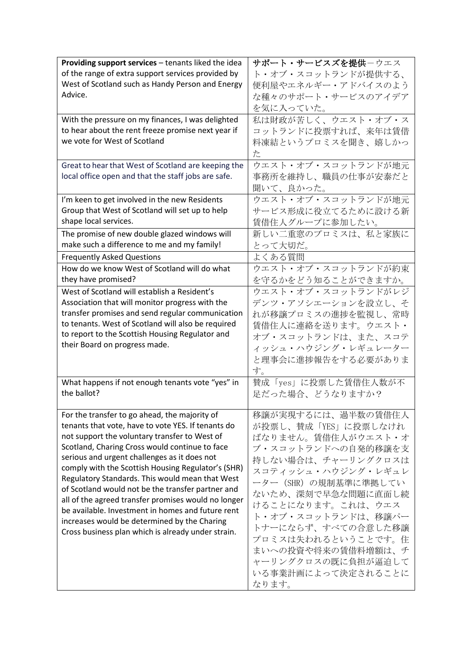| Providing support services - tenants liked the idea | サポート・サービスズを提供ーウエス     |
|-----------------------------------------------------|-----------------------|
| of the range of extra support services provided by  | ト・オブ・スコットランドが提供する、    |
| West of Scotland such as Handy Person and Energy    | 便利屋やエネルギー・アドバイスのよう    |
| Advice.                                             | な種々のサポート・サービスのアイデア    |
|                                                     | を気に入っていた。             |
| With the pressure on my finances, I was delighted   | 私は財政が苦しく、ウエスト・オブ・ス    |
| to hear about the rent freeze promise next year if  | コットランドに投票すれば、来年は賃借    |
| we vote for West of Scotland                        | 料凍結というプロミスを聞き、嬉しかっ    |
|                                                     | た                     |
| Great to hear that West of Scotland are keeping the | ウエスト・オブ・スコットランドが地元    |
| local office open and that the staff jobs are safe. | 事務所を維持し、職員の仕事が安泰だと    |
|                                                     |                       |
|                                                     | 聞いて、良かった。             |
| I'm keen to get involved in the new Residents       | ウエスト・オブ・スコットランドが地元    |
| Group that West of Scotland will set up to help     | サービス形成に役立てるために設ける新    |
| shape local services.                               | 賃借住人グループに参加したい。       |
| The promise of new double glazed windows will       | 新しい二重窓のプロミスは、私と家族に    |
| make such a difference to me and my family!         | とって大切だ。               |
| <b>Frequently Asked Questions</b>                   | よくある質問                |
| How do we know West of Scotland will do what        | ウエスト・オブ・スコットランドが約束    |
| they have promised?                                 | を守るかをどう知ることができますか。    |
| West of Scotland will establish a Resident's        | ウエスト・オブ・スコットランドがレジ    |
| Association that will monitor progress with the     | デンツ・アソシエーションを設立し、そ    |
| transfer promises and send regular communication    | れが移譲プロミスの進捗を監視し、常時    |
| to tenants. West of Scotland will also be required  | 賃借住人に連絡を送ります。ウエスト・    |
| to report to the Scottish Housing Regulator and     | オブ・スコットランドは、また、スコテ    |
| their Board on progress made.                       | ィッシュ・ハウジング・レギュレーター    |
|                                                     | と理事会に進捗報告をする必要がありま    |
|                                                     | す。                    |
| What happens if not enough tenants vote "yes" in    | 賛成「yes」に投票した賃借住人数が不   |
| the ballot?                                         | 足だった場合、どうなりますか?       |
|                                                     |                       |
| For the transfer to go ahead, the majority of       | 移譲が実現するには、過半数の賃借住人    |
| tenants that vote, have to vote YES. If tenants do  | が投票し、賛成「YES」に投票しなけれ   |
| not support the voluntary transfer to West of       | ばなりません。賃借住人がウエスト・オ    |
| Scotland, Charing Cross would continue to face      | ブ・スコットランドへの自発的移譲を支    |
| serious and urgent challenges as it does not        | 持しない場合は、チャーリングクロスは    |
| comply with the Scottish Housing Regulator's (SHR)  | スコティッシュ・ハウジング・レギュレ    |
| Regulatory Standards. This would mean that West     |                       |
| of Scotland would not be the transfer partner and   | ーター (SHR) の規制基準に準拠してい |
| all of the agreed transfer promises would no longer | ないため、深刻で早急な問題に直面し続    |
| be available. Investment in homes and future rent   | けることになります。これは、ウエス     |
| increases would be determined by the Charing        | ト・オブ・スコットランドは、移譲パー    |
| Cross business plan which is already under strain.  | トナーにならず、すべての合意した移譲    |
|                                                     | プロミスは失われるということです。住    |
|                                                     | まいへの投資や将来の賃借料増額は、チ    |
|                                                     | ャーリングクロスの既に負担が逼迫して    |
|                                                     | いる事業計画によって決定されることに    |
|                                                     | なります。                 |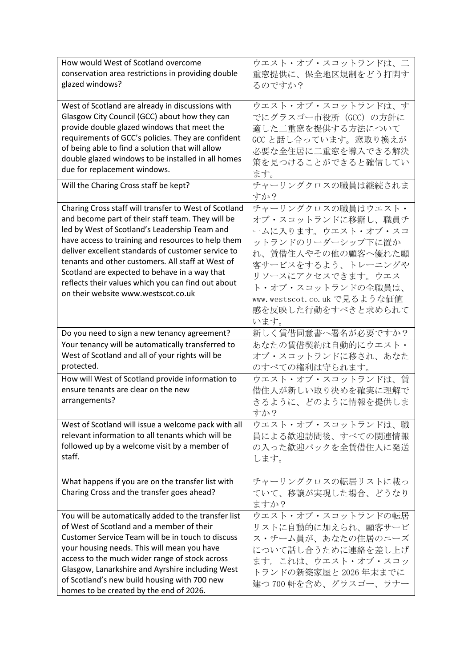| How would West of Scotland overcome<br>conservation area restrictions in providing double                                                                                                                                                                                                                                                                                                 | ウエスト・オブ・スコットランドは、二<br>重窓提供に、保全地区規制をどう打開す                                                                                                                                |
|-------------------------------------------------------------------------------------------------------------------------------------------------------------------------------------------------------------------------------------------------------------------------------------------------------------------------------------------------------------------------------------------|-------------------------------------------------------------------------------------------------------------------------------------------------------------------------|
| glazed windows?                                                                                                                                                                                                                                                                                                                                                                           | るのですか?                                                                                                                                                                  |
| West of Scotland are already in discussions with<br>Glasgow City Council (GCC) about how they can<br>provide double glazed windows that meet the<br>requirements of GCC's policies. They are confident<br>of being able to find a solution that will allow<br>double glazed windows to be installed in all homes<br>due for replacement windows.<br>Will the Charing Cross staff be kept? | ウエスト・オブ・スコットランドは、す<br>でにグラスゴー市役所 (GCC) の方針に<br>適した二重窓を提供する方法について<br>GCCと話し合っています。窓取り換えが<br>必要な全住居に二重窓を導入できる解決<br>策を見つけることができると確信してい<br>ます。<br>チャーリングクロスの職員は継続されま<br>すか? |
| Charing Cross staff will transfer to West of Scotland                                                                                                                                                                                                                                                                                                                                     | チャーリングクロスの職員はウエスト・                                                                                                                                                      |
| and become part of their staff team. They will be                                                                                                                                                                                                                                                                                                                                         | オブ・スコットランドに移籍し、職員チ                                                                                                                                                      |
| led by West of Scotland's Leadership Team and                                                                                                                                                                                                                                                                                                                                             | ームに入ります。ウエスト・オブ・スコ                                                                                                                                                      |
| have access to training and resources to help them                                                                                                                                                                                                                                                                                                                                        | ットランドのリーダーシップ下に置か                                                                                                                                                       |
| deliver excellent standards of customer service to                                                                                                                                                                                                                                                                                                                                        | れ、賃借住人やその他の顧客へ優れた顧                                                                                                                                                      |
| tenants and other customers. All staff at West of                                                                                                                                                                                                                                                                                                                                         | 客サービスをするよう、トレーニングや                                                                                                                                                      |
| Scotland are expected to behave in a way that                                                                                                                                                                                                                                                                                                                                             | リソースにアクセスできます。ウエス                                                                                                                                                       |
| reflects their values which you can find out about                                                                                                                                                                                                                                                                                                                                        | ト・オブ・スコットランドの全職員は、                                                                                                                                                      |
| on their website www.westscot.co.uk                                                                                                                                                                                                                                                                                                                                                       | www.westscot.co.uk で見るような価値                                                                                                                                             |
|                                                                                                                                                                                                                                                                                                                                                                                           | 感を反映した行動をすべきと求められて                                                                                                                                                      |
|                                                                                                                                                                                                                                                                                                                                                                                           | います。                                                                                                                                                                    |
| Do you need to sign a new tenancy agreement?                                                                                                                                                                                                                                                                                                                                              | 新しく賃借同意書へ署名が必要ですか?                                                                                                                                                      |
| Your tenancy will be automatically transferred to                                                                                                                                                                                                                                                                                                                                         | あなたの賃借契約は自動的にウエスト・                                                                                                                                                      |
|                                                                                                                                                                                                                                                                                                                                                                                           |                                                                                                                                                                         |
| West of Scotland and all of your rights will be                                                                                                                                                                                                                                                                                                                                           | オブ・スコットランドに移され、あなた                                                                                                                                                      |
| protected.                                                                                                                                                                                                                                                                                                                                                                                | のすべての権利は守られます。                                                                                                                                                          |
| How will West of Scotland provide information to                                                                                                                                                                                                                                                                                                                                          | ウエスト・オブ・スコットランドは、賃                                                                                                                                                      |
| ensure tenants are clear on the new                                                                                                                                                                                                                                                                                                                                                       | 借住人が新しい取り決めを確実に理解で                                                                                                                                                      |
| arrangements?                                                                                                                                                                                                                                                                                                                                                                             | きるように、どのように情報を提供しま                                                                                                                                                      |
|                                                                                                                                                                                                                                                                                                                                                                                           | すか?                                                                                                                                                                     |
| West of Scotland will issue a welcome pack with all                                                                                                                                                                                                                                                                                                                                       | ウエスト・オブ・スコットランドは、職                                                                                                                                                      |
| relevant information to all tenants which will be                                                                                                                                                                                                                                                                                                                                         | 員による歓迎訪問後、すべての関連情報                                                                                                                                                      |
| followed up by a welcome visit by a member of                                                                                                                                                                                                                                                                                                                                             | の入った歓迎パックを全賃借住人に発送                                                                                                                                                      |
| staff.                                                                                                                                                                                                                                                                                                                                                                                    | します。                                                                                                                                                                    |
|                                                                                                                                                                                                                                                                                                                                                                                           |                                                                                                                                                                         |
| What happens if you are on the transfer list with                                                                                                                                                                                                                                                                                                                                         | チャーリングクロスの転居リストに載っ                                                                                                                                                      |
| Charing Cross and the transfer goes ahead?                                                                                                                                                                                                                                                                                                                                                | ていて、移譲が実現した場合、どうなり                                                                                                                                                      |
|                                                                                                                                                                                                                                                                                                                                                                                           | ますか?                                                                                                                                                                    |
| You will be automatically added to the transfer list<br>of West of Scotland and a member of their                                                                                                                                                                                                                                                                                         | ウエスト・オブ・スコットランドの転居                                                                                                                                                      |
| Customer Service Team will be in touch to discuss                                                                                                                                                                                                                                                                                                                                         | リストに自動的に加えられ、顧客サービ                                                                                                                                                      |
| your housing needs. This will mean you have                                                                                                                                                                                                                                                                                                                                               | ス・チーム員が、あなたの住居のニーズ                                                                                                                                                      |
| access to the much wider range of stock across                                                                                                                                                                                                                                                                                                                                            | について話し合うために連絡を差し上げ                                                                                                                                                      |
| Glasgow, Lanarkshire and Ayrshire including West                                                                                                                                                                                                                                                                                                                                          | ます。これは、ウエスト・オブ・スコッ                                                                                                                                                      |
| of Scotland's new build housing with 700 new                                                                                                                                                                                                                                                                                                                                              | トランドの新築家屋と 2026 年末までに<br>建つ700軒を含め、グラスゴー、ラナー                                                                                                                            |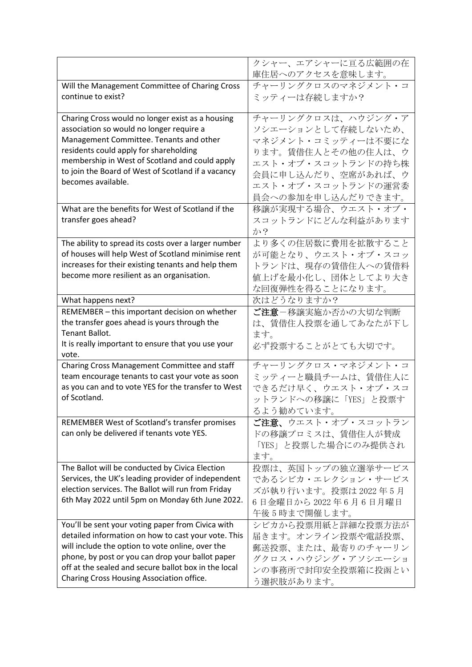|                                                                                                         | クシャー、エアシャーに亘る広範囲の在   |
|---------------------------------------------------------------------------------------------------------|----------------------|
|                                                                                                         | 庫住居へのアクセスを意味します。     |
| Will the Management Committee of Charing Cross                                                          | チャーリングクロスのマネジメント・コ   |
| continue to exist?                                                                                      | ミッティーは存続しますか?        |
|                                                                                                         |                      |
| Charing Cross would no longer exist as a housing                                                        | チャーリングクロスは、ハウジング・ア   |
| association so would no longer require a                                                                | ソシエーションとして存続しないため、   |
| Management Committee. Tenants and other<br>residents could apply for shareholding                       | マネジメント・コミッティーは不要にな   |
| membership in West of Scotland and could apply                                                          | ります。賃借住人とその他の住人は、ウ   |
| to join the Board of West of Scotland if a vacancy                                                      | エスト・オブ・スコットランドの持ち株   |
| becomes available.                                                                                      | 会員に申し込んだり、空席があれば、ウ   |
|                                                                                                         | エスト・オブ・スコットランドの運営委   |
|                                                                                                         | 員会への参加を申し込んだりできます。   |
| What are the benefits for West of Scotland if the                                                       | 移譲が実現する場合、ウエスト・オブ・   |
| transfer goes ahead?                                                                                    | スコットランドにどんな利益があります   |
|                                                                                                         | か?                   |
| The ability to spread its costs over a larger number                                                    | より多くの住居数に費用を拡散すること   |
| of houses will help West of Scotland minimise rent                                                      | が可能となり、ウエスト・オブ・スコッ   |
| increases for their existing tenants and help them                                                      | トランドは、現存の賃借住人への賃借料   |
| become more resilient as an organisation.                                                               | 値上げを最小化し、団体としてより大き   |
|                                                                                                         | な回復弾性を得ることになります。     |
| What happens next?                                                                                      | 次はどうなりますか?           |
| REMEMBER - this important decision on whether                                                           | ご注意-移譲実施か否かの大切な判断    |
| the transfer goes ahead is yours through the                                                            | は、賃借住人投票を通してあなたが下し   |
| Tenant Ballot.                                                                                          | ます。                  |
| It is really important to ensure that you use your                                                      | 必ず投票することがとても大切です。    |
| vote.                                                                                                   |                      |
| Charing Cross Management Committee and staff                                                            | チャーリングクロス・マネジメント・コ   |
| team encourage tenants to cast your vote as soon<br>as you can and to vote YES for the transfer to West | ミッティーと職員チームは、賃借住人に   |
| of Scotland.                                                                                            | できるだけ早く、ウエスト・オブ・スコ   |
|                                                                                                         | ットランドへの移譲に「YES」と投票す  |
|                                                                                                         | るよう勧めています。           |
| REMEMBER West of Scotland's transfer promises                                                           | ご注意、ウエスト・オブ・スコットラン   |
| can only be delivered if tenants vote YES.                                                              | ドの移譲プロミスは、賃借住人が賛成    |
|                                                                                                         | 「YES」と投票した場合にのみ提供され  |
|                                                                                                         | ます。                  |
| The Ballot will be conducted by Civica Election                                                         | 投票は、英国トップの独立選挙サービス   |
| Services, the UK's leading provider of independent                                                      | であるシビカ・エレクション・サービス   |
| election services. The Ballot will run from Friday                                                      | ズが執り行います。投票は 2022年5月 |
| 6th May 2022 until 5pm on Monday 6th June 2022.                                                         | 6日金曜日から2022年6月6日月曜日  |
|                                                                                                         | 午後5時まで開催します。         |
| You'll be sent your voting paper from Civica with                                                       | シビカから投票用紙と詳細な投票方法が   |
| detailed information on how to cast your vote. This                                                     | 届きます。オンライン投票や電話投票、   |
| will include the option to vote online, over the                                                        | 郵送投票、または、最寄りのチャーリン   |
| phone, by post or you can drop your ballot paper                                                        | グクロス・ハウジング・アソシエーショ   |
| off at the sealed and secure ballot box in the local                                                    | ンの事務所で封印安全投票箱に投函とい   |
| Charing Cross Housing Association office.                                                               | う選択肢があります。           |